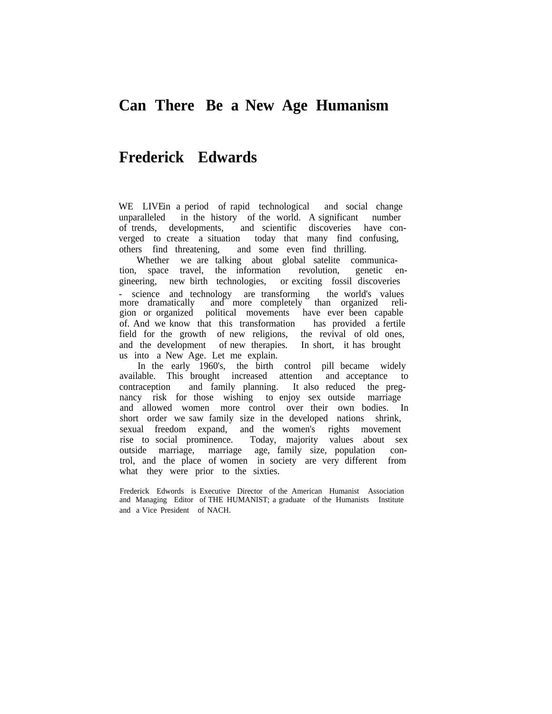## **Can There Be a New Age Humanism**

## **Frederick Edwards**

WE LIVE in a period of rapid technological and social change unparalleled in the history of the world. A significant number of trends, developments, and scientific discoveries have converged to create a situation today that many find confusing, others find threatening, and some even find thrilling.

Whether we are talking about global satelite communication, space travel, the information revolution, genetic engineering, new birth technologies, or exciting fossil discoveries - science and technology are transforming the world's values more dramatically and more completely than organized religion or organized political movements have ever been capable of. And we know that this transformation has provided a fertile field for the growth of new religions, the revival of old ones, and the development of new therapies. In short, it has brought us into a New Age. Let me explain.

In the early 1960's, the birth control pill became widely available. This brought increased attention and acceptance to contraception and family planning. It also reduced the pregnancy risk for those wishing to enjoy sex outside marriage and allowed women more control over their own bodies. In short order we saw family size in the developed nations shrink, sexual freedom expand, and the women's rights movement rise to social prominence. Today, majority values about sex outside marriage, marriage age, family size, population control, and the place of women in society are very different from what they were prior to the sixties.

Frederick Edwords is Executive Director of the American Humanist Association and Managing Editor of THE HUMANIST; a graduate of the Humanists Institute and a Vice President of NACH.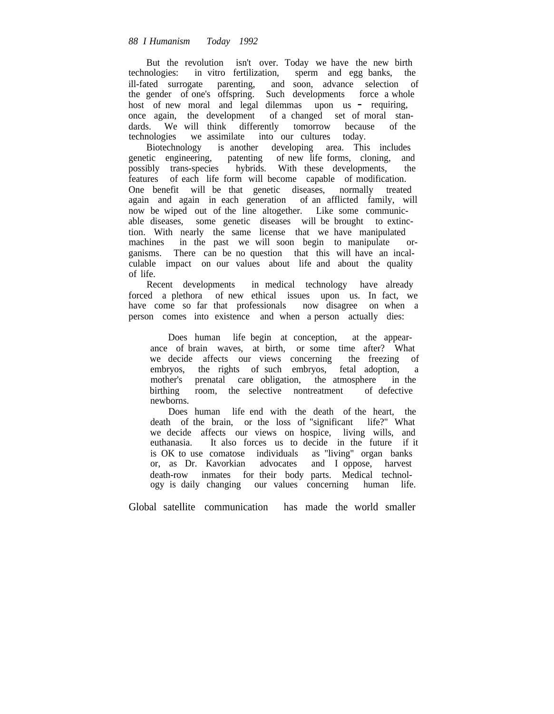But the revolution isn't over. Today we have the new birth technologies: in vitro fertilization, sperm and egg banks, the ill-fated surrogate parenting, and soon, advance selection of the gender of one's offspring. Such developments force a whole host of new moral and legal dilemmas upon us - requiring, once again, the development of a changed set of moral standards. We will think differently tomorrow because of the technologies we assimilate into our cultures today.

Biotechnology is another developing area. This includes genetic engineering, patenting of new life forms, cloning, and possibly trans-species hybrids. With these developments, the features of each life form will become capable of modification. One benefit will be that genetic diseases, normally treated again and again in each generation of an afflicted family, will now be wiped out of the line altogether. Like some communicable diseases, some genetic diseases will be brought to extinction. With nearly the same license that we have manipulated machines in the past we will soon begin to manipulate organisms. There can be no question that this will have an incalculable impact on our values about life and about the quality of life.

Recent developments in medical technology have already forced a plethora of new ethical issues upon us. In fact, we have come so far that professionals now disagree on when a person comes into existence and when a person actually dies:

Does human life begin at conception, at the appearance of brain waves, at birth, or some time after? What we decide affects our views concerning the freezing of embryos, the rights of such embryos, fetal adoption, a mother's prenatal care obligation, the atmosphere in the birthing room, the selective nontreatment of defective room, the selective nontreatment of defective newborns.

Does human life end with the death of the heart, the death of the brain, or the loss of "significant life?" What we decide affects our views on hospice, living wills, and euthanasia. It also forces us to decide in the future if it is OK to use comatose individuals as "living" organ banks or, as Dr. Kavorkian advocates and I oppose, harvest death-row inmates for their body parts. Medical technology is daily changing our values concerning human life.

Global satellite communication has made the world smaller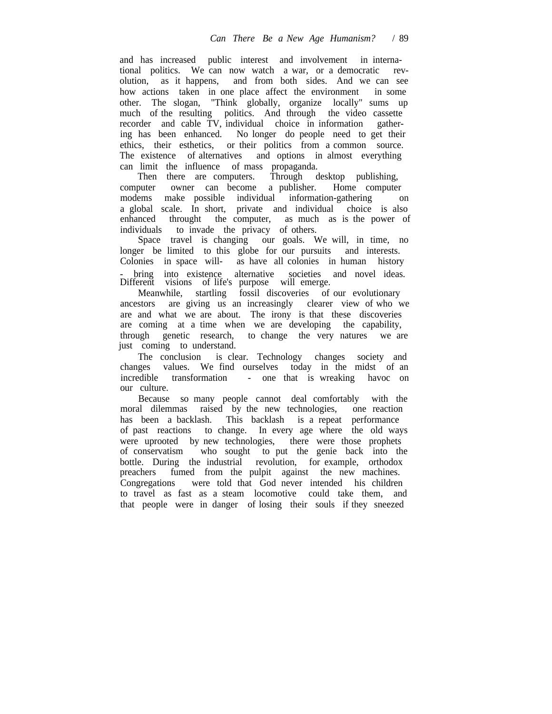and has increased public interest and involvement in international politics. We can now watch a war, or a democratic revolution, as it happens, and from both sides. And we can see how actions taken in one place affect the environment in some other. The slogan, "Think globally, organize locally" sums up much of the resulting politics. And through the video cassette recorder and cable TV, individual choice in information gathering has been enhanced. No longer do people need to get their ethics, their esthetics, or their politics from a common source. The existence of alternatives and options in almost everything can limit the influence of mass propaganda.

Then there are computers. Through desktop publishing,<br>puter owner can become a publisher. Home computer computer owner can become a publisher. modems make possible individual information-gathering on a global scale. In short, private and individual choice is also enhanced throught the computer, as much as is the power of individuals to invade the privacy of others.

Space travel is changing our goals. We will, in time, no longer be limited to this globe for our pursuits and interests. Colonies in space will- as have all colonies in human history bring into existence alternative societies and novel ideas. Different visions of life's purpose will emerge.

Meanwhile, startling fossil discoveries of our evolutionary ancestors are giving us an increasingly clearer view of who we are and what we are about. The irony is that these discoveries are coming at a time when we are developing the capability, through genetic research, to change the very natures we are just coming to understand.

The conclusion is clear. Technology changes society and changes values. We find ourselves today in the midst of an incredible transformation - one that is wreaking havoc on our culture.

Because so many people cannot deal comfortably with the moral dilemmas raised by the new technologies, one reaction has been a backlash. This backlash is a repeat performance of past reactions to change. In every age where the old ways were uprooted by new technologies, there were those prophets of conservatism who sought to put the genie back into the bottle. During the industrial revolution, for example, orthodox preachers fumed from the pulpit against the new machines. Congregations were told that God never intended his children to travel as fast as a steam locomotive could take them, and that people were in danger of losing their souls if they sneezed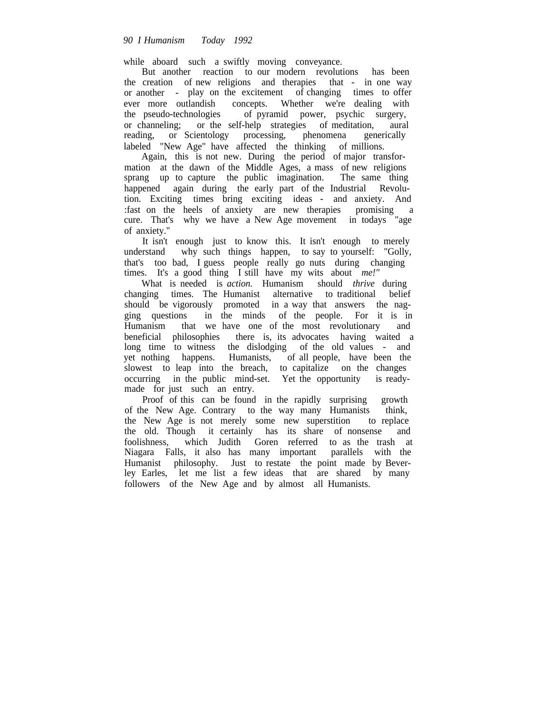while aboard such a swiftly moving conveyance.

But another reaction to our modern revolutions has been the creation of new religions and therapies that - in one way or another - play on the excitement of changing times to offer ever more outlandish concepts. Whether we're dealing with the pseudo-technologies of pyramid power, psychic surgery, or channeling; or the self-help strategies of meditation, aural reading, or Scientology processing, phenomena generically reading, or Scientology processing, phenomena generically labeled "New Age" have affected the thinking of millions.

Again, this is not new. During the period of major transformation at the dawn of the Middle Ages, a mass of new religions sprang up to capture the public imagination. The same thing happened again during the early part of the Industrial Revolution. Exciting times bring exciting ideas - and anxiety. And :fast on the heels of anxiety are new therapies promising a cure. That's why we have a New Age movement in todays "age of anxiety."

It isn't enough just to know this. It isn't enough to merely understand why such things happen, to say to yourself: "Golly, that's too bad, I guess people really go nuts during changing times. It's a good thing I still have my wits about *me!"*

What is needed is *action.* Humanism should *thrive* during changing times. The Humanist alternative to traditional belief should be vigorously promoted in a way that answers the nag-<br>ging questions in the minds of the people. For it is in in the minds of the people. For it is in Humanism that we have one of the most revolutionary and beneficial philosophies there is, its advocates having waited a long time to witness the dislodging of the old values - and yet nothing happens. Humanists, of all people, have been the slowest to leap into the breach, to capitalize on the changes occurring in the public mind-set. Yet the opportunity is readymade for just such an entry.

Proof of this can be found in the rapidly surprising growth of the New Age. Contrary to the way many Humanists think, the New Age is not merely some new superstition to replace the old. Though it certainly has its share of nonsense and foolishness, which Judith Goren referred to as the trash at Niagara Falls, it also has many important parallels with the Humanist philosophy. Just to restate the point made by Beverley Earles, let me list a few ideas that are shared by many followers of the New Age and by almost all Humanists.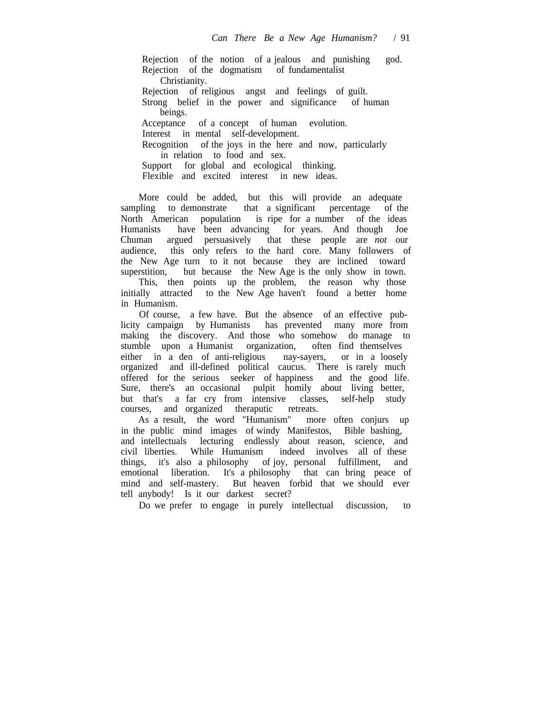Rejection of the notion of a jealous and punishing god. Rejection of the dogmatism of fundamentalist Christianity. Rejection of religious angst and feelings of guilt. Strong belief in the power and significance of human beings. Acceptance of a concept of human evolution. Interest in mental self-development. Recognition of the joys in the here and now, particularly in relation to food and sex. Support for global and ecological thinking. Flexible and excited interest in new ideas.

More could be added, but this will provide an adequate sampling to demonstrate that a significant percentage of the North American population is ripe for a number of the ideas Humanists have been advancing for years. And though Joe Chuman argued persuasively that these people are *not* our audience, this only refers to the hard core. Many followers of the New Age turn to it not because they are inclined toward superstition, but because the New Age is the only show in town. This, then points up the problem, the reason why those initially attracted to the New Age haven't found a better home in Humanism.

Of course, a few have. But the absence of an effective publicity campaign by Humanists has prevented many more from making the discovery. And those who somehow do manage to stumble upon a Humanist organization, often find themselves stumble upon a Humanist organization, either in a den of anti-religious nay-sayers, or in a loosely organized and ill-defined political caucus. There is rarely much offered for the serious seeker of happiness and the good life. Sure, there's an occasional pulpit homily about living better, but that's a far cry from intensive classes, self-help study courses, and organized theraputic retreats.

As a result, the word "Humanism" more often conjurs up in the public mind images of windy Manifestos, Bible bashing, and intellectuals lecturing endlessly about reason, science, and civil liberties. While Humanism indeed involves all of these civil liberties. While Humanism things, it's also a philosophy of joy, personal fulfillment, and emotional liberation. It's a philosophy that can bring peace of mind and self-mastery. But heaven forbid that we should ever tell anybody! Is it our darkest secret?

Do we prefer to engage in purely intellectual discussion, to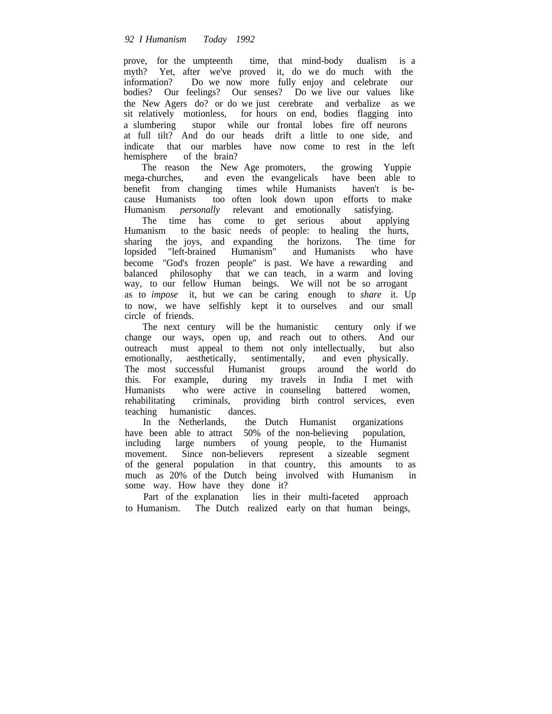prove, for the umpteenth time, that mind-body dualism is a myth? Yet, after we've proved it, do we do much with the information? Do we now more fully enjoy and celebrate our bodies? Our feelings? Our senses? Do we live our values like the New Agers do? or do we just cerebrate and verbalize as we sit relatively motionless, for hours on end, bodies flagging into a slumbering stupor while our frontal lobes fire off neurons at full tilt? And do our heads drift a little to one side, and indicate that our marbles have now come to rest in the left hemisphere of the brain?

The reason the New Age promoters, the growing Yuppie mega-churches, and even the evangelicals have been able to benefit from changing times while Humanists haven't is because Humanists too often look down upon efforts to make Humanism *personally* relevant and emotionally satisfying.

The time has come to get serious about applying Humanism to the basic needs of people: to healing the hurts, sharing the joys, and expanding the horizons. The time for lopsided "left-brained Humanism" and Humanists who have become "God's frozen people" is past. We have a rewarding and balanced philosophy that we can teach, in a warm and loving way, to our fellow Human beings. We will not be so arrogant as to *impose* it, but we can be caring enough to *share* it. Up to now, we have selfishly kept it to ourselves and our small circle of friends.

The next century will be the humanistic century only if we change our ways, open up, and reach out to others. And our outreach must appeal to them not only intellectually, but also emotionally, aesthetically, sentimentally, and even physically. The most successful Humanist groups around the world do this. For example, during my travels in India I met with Humanists who were active in counseling battered women,<br>rehabilitating criminals, providing birth control services, even criminals, providing birth control services, even teaching humanistic dances.

In the Netherlands, the Dutch Humanist organizations have been able to attract 50% of the non-believing population, including large numbers of young people, to the Humanist movement. Since non-believers represent a sizeable segment of the general population in that country, this amounts to as much as 20% of the Dutch being involved with Humanism in some way. How have they done it?

Part of the explanation lies in their multi-faceted approach to Humanism. The Dutch realized early on that human beings,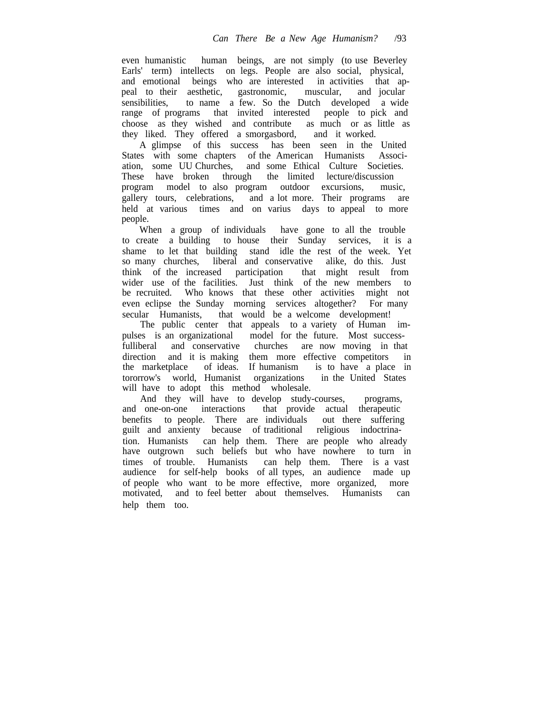even humanistic human beings, are not simply (to use Beverley Earls' term) intellects on legs. People are also social, physical, and emotional beings who are interested in activities that appeal to their aesthetic, gastronomic, muscular, and jocular sensibilities, to name a few. So the Dutch developed a wide range of programs that invited interested people to pick and choose as they wished and contribute as much or as little as they liked. They offered a smorgasbord, and it worked.

A glimpse of this success has been seen in the United States with some chapters of the American Humanists Association, some UU Churches, and some Ethical Culture Societies. These have broken through program model to also program outdoor excursions, music, gallery tours, celebrations, and a lot more. Their programs are held at various times and on varius days to appeal to more people.

When a group of individuals have gone to all the trouble to create a building to house their Sunday services, it is a shame to let that building stand idle the rest of the week. Yet so many churches, liberal and conservative alike, do this. Just think of the increased participation that might result from wider use of the facilities. Just think of the new members to be recruited. Who knows that these other activities might not even eclipse the Sunday morning services altogether? For many secular Humanists, that would be a welcome development!

The public center that appeals to a variety of Human impulses is an organizational model for the future. Most successfulliberal and conservative churches are now moving in that direction and it is making them more effective competitors in the marketplace of ideas. If humanism is to have a place in tororrow's world, Humanist organizations in the United States will have to adopt this method wholesale.

And they will have to develop study-courses, programs, and one-on-one interactions that provide actual therapeutic benefits to people. There are individuals out there suffering guilt and anxienty because of traditional religious indoctrination. Humanists can help them. There are people who already have outgrown such beliefs but who have nowhere to turn in times of trouble. Humanists can help them. There is a vast audience for self-help books of all types, an audience made up of people who want to be more effective, more organized, more motivated, and to feel better about themselves. Humanists can help them too.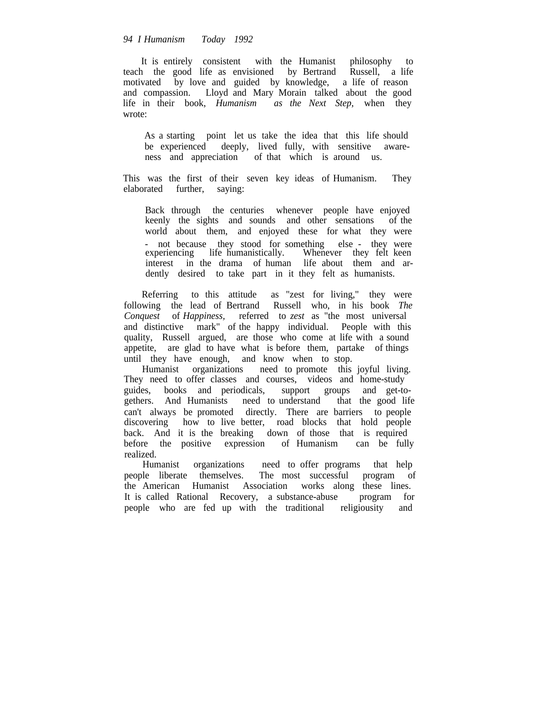## *94 I Humanism Today 1992*

It is entirely consistent with the Humanist philosophy to teach the good life as envisioned by Bertrand Russell, a life motivated by love and guided by knowledge, a life of reason and compassion. Lloyd and Mary Morain talked about the good life in their book, *Humanism as the Next Step,* when they wrote:

As a starting point let us take the idea that this life should be experienced deeply, lived fully, with sensitive awareness and appreciation of that which is around us.

This was the first of their seven key ideas of Humanism. They elaborated further, saying:

Back through the centuries whenever people have enjoyed keenly the sights and sounds and other sensations of the world about them, and enjoyed these for what they were - not because they stood for something else - they were experiencing life humanistically. Whenever they felt keen life humanistically. Whenever they felt keen interest in the drama of human life about them and ardently desired to take part in it they felt as humanists.

Referring to this attitude as "zest for living," they were following the lead of Bertrand Russell who, in his book *The Conquest* of *Happiness,* referred to *zest* as "the most universal and distinctive mark" of the happy individual. People with this quality, Russell argued, are those who come at life with a sound appetite, are glad to have what is before them, partake of things until they have enough, and know when to stop.

Humanist organizations need to promote this joyful living. They need to offer classes and courses, videos and home-study guides, books and periodicals, support groups and get-togethers. And Humanists need to understand that the good life can't always be promoted directly. There are barriers to people discovering how to live better, road blocks that hold people back. And it is the breaking down of those that is required before the positive expression of Humanism can be fully before the positive expression of Humanism realized.

Humanist organizations need to offer programs that help people liberate themselves. The most successful program of the American Humanist Association works along these lines. It is called Rational Recovery, a substance-abuse program for people who are fed up with the traditional religiousity and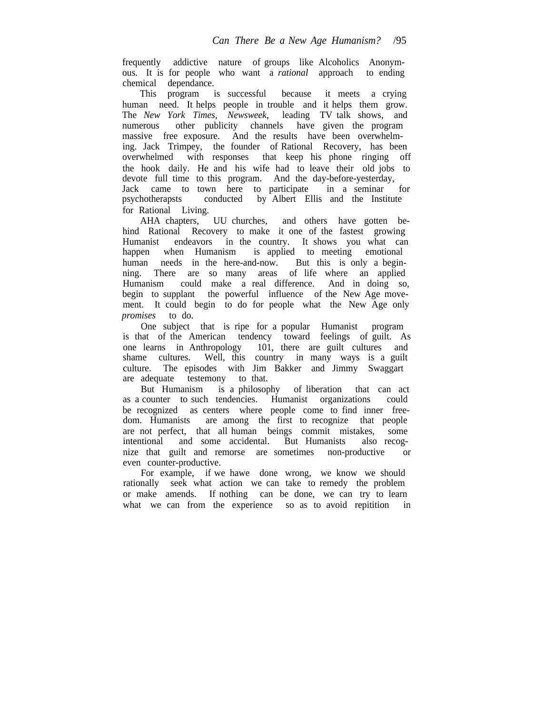frequently addictive nature of groups like Alcoholics Anonymous. It is for people who want a *rational* approach to ending chemical dependance.

This program is successful because it meets a crying human need. It helps people in trouble and it helps them grow. The *New York Times, Newsweek,* leading TV talk shows, and numerous other publicity channels have given the program massive free exposure. And the results have been overwhelming. Jack Trimpey, the founder of Rational Recovery, has been overwhelmed with responses that keep his phone ringing off the hook daily. He and his wife had to leave their old jobs to devote full time to this program. And the day-before-yesterday, Jack came to town here to participate in a seminar for psychotherapsts conducted by Albert Ellis and the Institute conducted by Albert Ellis and the Institute for Rational Living.<br>AHA chapters, UU churches,

and others have gotten behind Rational Recovery to make it one of the fastest growing Humanist endeavors in the country. It shows you what can happen when Humanism is applied to meeting emotional human needs in the here-and-now. But this is only a beginning. There are so many areas of life where an applied Humanism could make a real difference. And in doing so, begin to supplant the powerful influence of the New Age movement. It could begin to do for people what the New Age only *promises* to do.

One subject that is ripe for a popular Humanist program is that of the American tendency toward feelings of guilt. As one learns in Anthropology 101, there are guilt cultures and shame cultures. Well, this country in many ways is a guilt culture. The episodes with Jim Bakker and Jimmy Swaggart are adequate testemony to that.

But Humanism is a philosophy of liberation that can act as a counter to such tendencies. Humanist organizations could be recognized as centers where people come to find inner freedom. Humanists are among the first to recognize that people are not perfect, that all human beings commit mistakes, some intentional and some accidental. But Humanists also recognize that guilt and remorse are sometimes non-productive or even counter-productive.

For example, if we hawe done wrong, we know we should rationally seek what action we can take to remedy the problem or make amends. If nothing can be done, we can try to learn what we can from the experience so as to avoid repitition in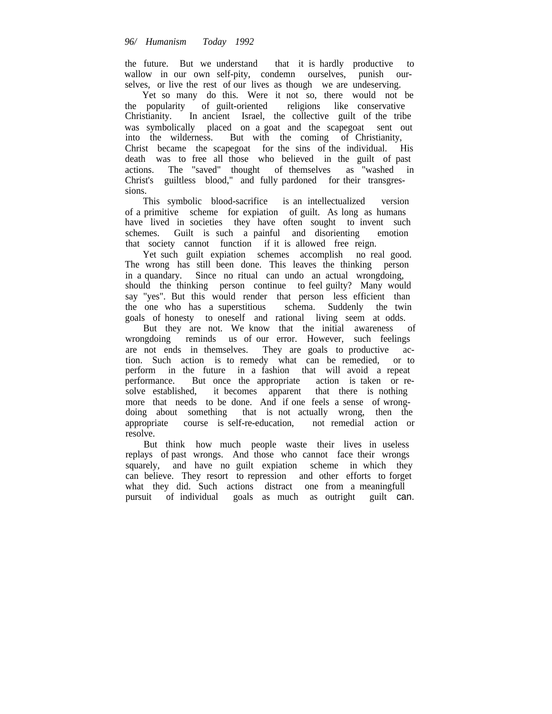the future. But we understand that it is hardly productive to wallow in our own self-pity, condemn ourselves, punish ourselves, or live the rest of our lives as though we are undeserving.

Yet so many do this. Were it not so, there would not be the popularity of guilt-oriented religions like conservative Christianity. In ancient Israel, the collective guilt of the tribe was symbolically placed on a goat and the scapegoat sent out into the wilderness. But with the coming of Christianity, Christ became the scapegoat for the sins of the individual. His death was to free all those who believed in the guilt of past actions. The "saved" thought of themselves as "washed in Christ's guiltless blood," and fully pardoned for their transgressions.

This symbolic blood-sacrifice is an intellectualized version of a primitive scheme for expiation of guilt. As long as humans have lived in societies they have often sought to invent such schemes. Guilt is such a painful and disorienting emotion that society cannot function if it is allowed free reign.

Yet such guilt expiation schemes accomplish no real good. The wrong has still been done. This leaves the thinking person in a quandary. Since no ritual can undo an actual wrongdoing, should the thinking person continue to feel guilty? Many would say "yes". But this would render that person less efficient than the one who has a superstitious schema. Suddenly the twin goals of honesty to oneself and rational living seem at odds.

But they are not. We know that the initial awareness of wrongdoing reminds us of our error. However, such feelings are not ends in themselves. They are goals to productive action. Such action is to remedy what can be remedied, or to perform in the future in a fashion that will avoid a repeat performance. But once the appropriate action is taken or resolve established, it becomes apparent that there is nothing more that needs to be done. And if one feels a sense of wrongdoing about something that is not actually wrong, then the appropriate course is self-re-education. not remedial action or appropriate course is self-re-education, resolve.

But think how much people waste their lives in useless replays of past wrongs. And those who cannot face their wrongs squarely, and have no guilt expiation scheme in which they can believe. They resort to repression and other efforts to forget what they did. Such actions distract one from a meaningfull pursuit of individual goals as much as outright guilt can.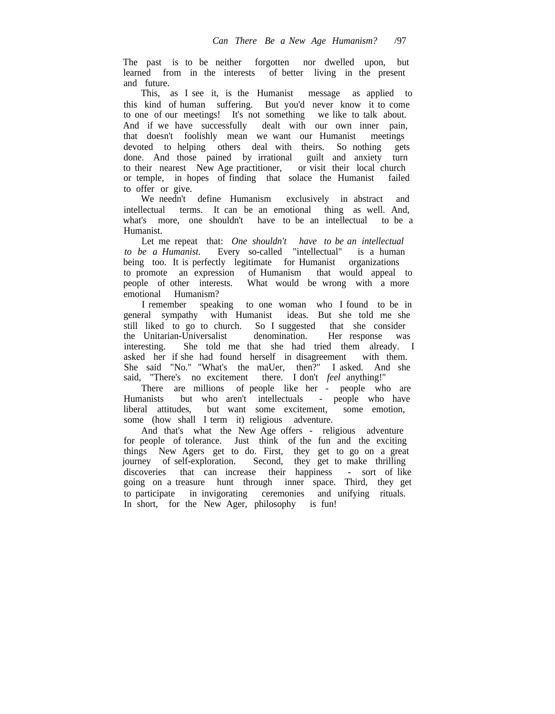The past is to be neither forgotten nor dwelled upon, but learned from in the interests of better living in the present and future.

This, as I see it, is the Humanist message as applied to this kind of human suffering. But you'd never know it to come to one of our meetings! It's not something we like to talk about. And if we have successfully dealt with our own inner pain, that doesn't foolishly mean we want our Humanist meetings devoted to helping others deal with theirs. So nothing gets done. And those pained by irrational guilt and anxiety turn to their nearest New Age practitioner, or visit their local church or temple, in hopes of finding that solace the Humanist failed to offer or give.

We needn't define Humanism exclusively in abstract and intellectual terms. It can be an emotional thing as well. And, what's more, one shouldn't have to be an intellectual to be a Humanist.

Let me repeat that: *One shouldn't have to be an intellectual to be a Humanist.* Every so-called "intellectual" is a human being too. It is perfectly legitimate for Humanist organizations to promote an expression of Humanism that would appeal to people of other interests. What would be wrong with a more emotional Humanism?

I remember speaking to one woman who I found to be in general sympathy with Humanist ideas. But she told me she still liked to go to church. So I suggested that she consider the Unitarian-Universalist denomination. Her response was the Unitarian-Universalist denomination. Her response was interesting. She told me that she had tried them already. I asked her if she had found herself in disagreement with them. She said "No." "What's the maUer, then?" I asked. And she said, "There's no excitement there. I don't *feel* anything!"

There are millions of people like her - people who are Humanists but who aren't intellectuals - people who have liberal attitudes, but want some excitement, some emotion, some (how shall I term it) religious adventure.

And that's what the New Age offers - religious adventure for people of tolerance. Just think of the fun and the exciting things New Agers get to do. First, they get to go on a great journey of self-exploration. Second, they get to make thrilling discoveries that can increase their happiness - sort of like going on a treasure hunt through inner space. Third, they get to participate in invigorating ceremonies and unifying rituals. In short, for the New Ager, philosophy is fun!